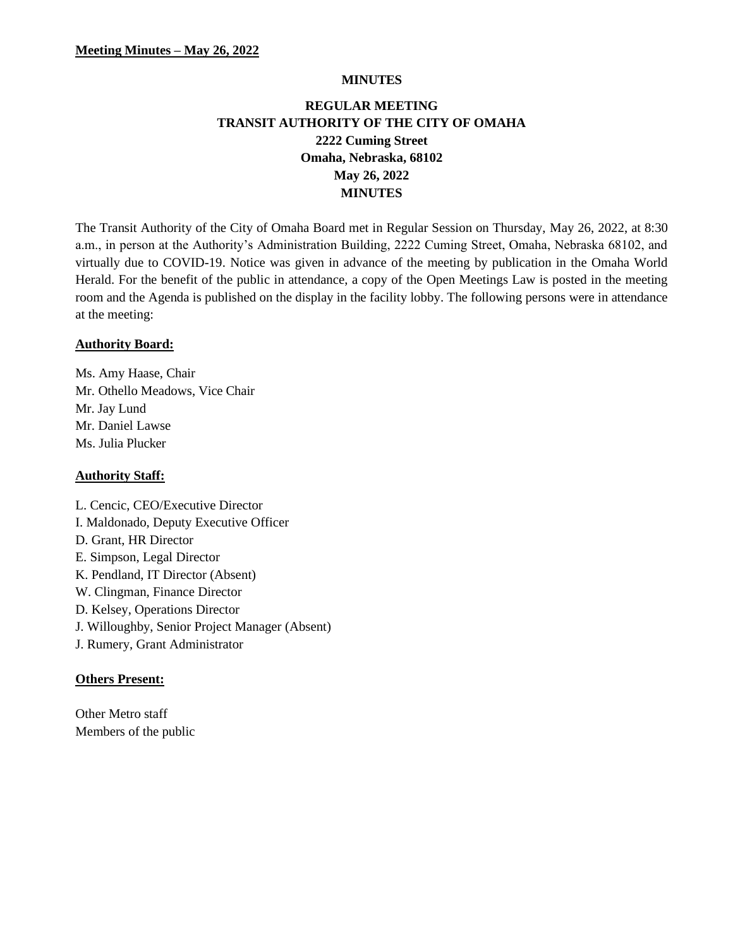#### **MINUTES**

# **REGULAR MEETING TRANSIT AUTHORITY OF THE CITY OF OMAHA 2222 Cuming Street Omaha, Nebraska, 68102 May 26, 2022 MINUTES**

The Transit Authority of the City of Omaha Board met in Regular Session on Thursday, May 26, 2022, at 8:30 a.m., in person at the Authority's Administration Building, 2222 Cuming Street, Omaha, Nebraska 68102, and virtually due to COVID-19. Notice was given in advance of the meeting by publication in the Omaha World Herald. For the benefit of the public in attendance, a copy of the Open Meetings Law is posted in the meeting room and the Agenda is published on the display in the facility lobby. The following persons were in attendance at the meeting:

### **Authority Board:**

Ms. Amy Haase, Chair Mr. Othello Meadows, Vice Chair Mr. Jay Lund Mr. Daniel Lawse Ms. Julia Plucker

#### **Authority Staff:**

L. Cencic, CEO/Executive Director I. Maldonado, Deputy Executive Officer D. Grant, HR Director E. Simpson, Legal Director K. Pendland, IT Director (Absent) W. Clingman, Finance Director D. Kelsey, Operations Director J. Willoughby, Senior Project Manager (Absent) J. Rumery, Grant Administrator

### **Others Present:**

Other Metro staff Members of the public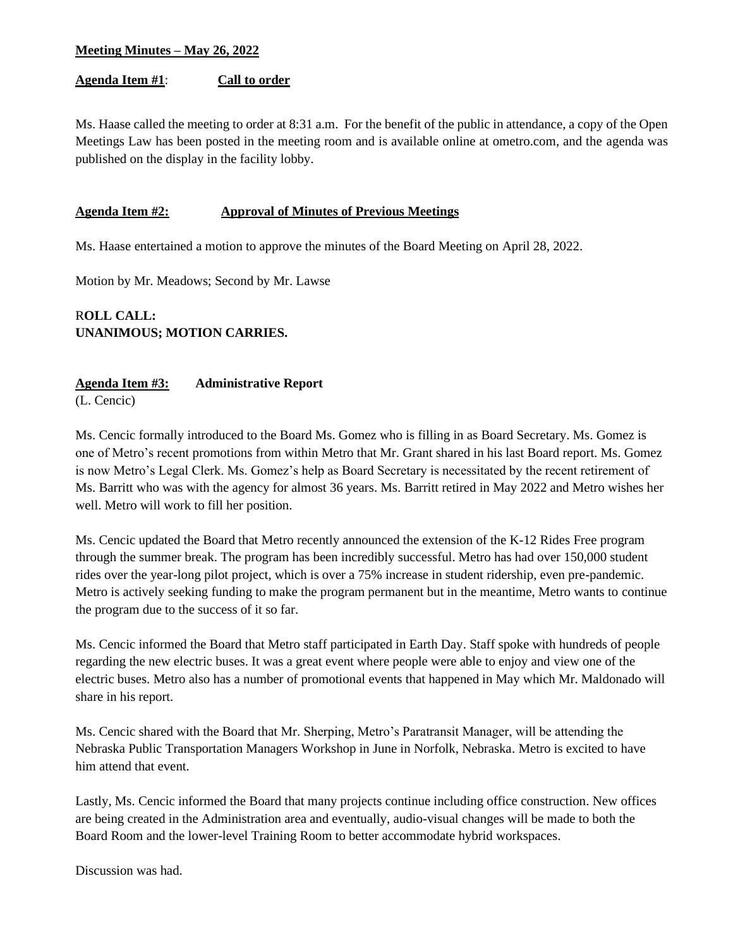### **Agenda Item #1**: **Call to order**

Ms. Haase called the meeting to order at 8:31 a.m. For the benefit of the public in attendance, a copy of the Open Meetings Law has been posted in the meeting room and is available online at ometro.com, and the agenda was published on the display in the facility lobby.

### **Agenda Item #2: Approval of Minutes of Previous Meetings**

Ms. Haase entertained a motion to approve the minutes of the Board Meeting on April 28, 2022.

Motion by Mr. Meadows; Second by Mr. Lawse

# R**OLL CALL: UNANIMOUS; MOTION CARRIES.**

### **Agenda Item #3: Administrative Report**

(L. Cencic)

Ms. Cencic formally introduced to the Board Ms. Gomez who is filling in as Board Secretary. Ms. Gomez is one of Metro's recent promotions from within Metro that Mr. Grant shared in his last Board report. Ms. Gomez is now Metro's Legal Clerk. Ms. Gomez's help as Board Secretary is necessitated by the recent retirement of Ms. Barritt who was with the agency for almost 36 years. Ms. Barritt retired in May 2022 and Metro wishes her well. Metro will work to fill her position.

Ms. Cencic updated the Board that Metro recently announced the extension of the K-12 Rides Free program through the summer break. The program has been incredibly successful. Metro has had over 150,000 student rides over the year-long pilot project, which is over a 75% increase in student ridership, even pre-pandemic. Metro is actively seeking funding to make the program permanent but in the meantime, Metro wants to continue the program due to the success of it so far.

Ms. Cencic informed the Board that Metro staff participated in Earth Day. Staff spoke with hundreds of people regarding the new electric buses. It was a great event where people were able to enjoy and view one of the electric buses. Metro also has a number of promotional events that happened in May which Mr. Maldonado will share in his report.

Ms. Cencic shared with the Board that Mr. Sherping, Metro's Paratransit Manager, will be attending the Nebraska Public Transportation Managers Workshop in June in Norfolk, Nebraska. Metro is excited to have him attend that event.

Lastly, Ms. Cencic informed the Board that many projects continue including office construction. New offices are being created in the Administration area and eventually, audio-visual changes will be made to both the Board Room and the lower-level Training Room to better accommodate hybrid workspaces.

Discussion was had.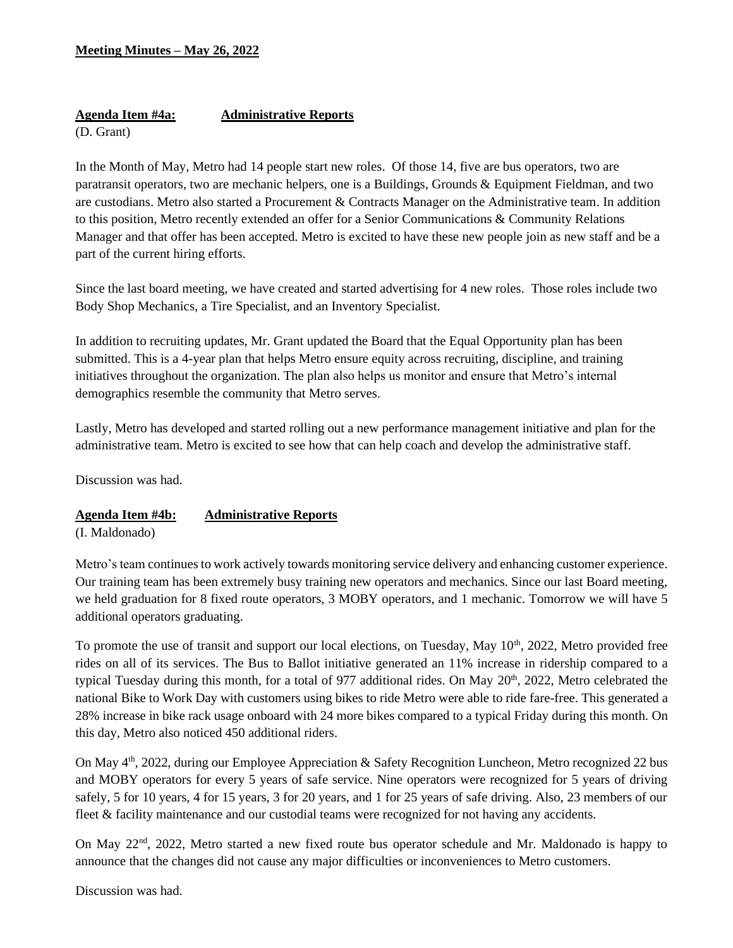# **Agenda Item #4a: Administrative Reports**

(D. Grant)

In the Month of May, Metro had 14 people start new roles. Of those 14, five are bus operators, two are paratransit operators, two are mechanic helpers, one is a Buildings, Grounds & Equipment Fieldman, and two are custodians. Metro also started a Procurement & Contracts Manager on the Administrative team. In addition to this position, Metro recently extended an offer for a Senior Communications & Community Relations Manager and that offer has been accepted. Metro is excited to have these new people join as new staff and be a part of the current hiring efforts.

Since the last board meeting, we have created and started advertising for 4 new roles. Those roles include two Body Shop Mechanics, a Tire Specialist, and an Inventory Specialist.

In addition to recruiting updates, Mr. Grant updated the Board that the Equal Opportunity plan has been submitted. This is a 4-year plan that helps Metro ensure equity across recruiting, discipline, and training initiatives throughout the organization. The plan also helps us monitor and ensure that Metro's internal demographics resemble the community that Metro serves.

Lastly, Metro has developed and started rolling out a new performance management initiative and plan for the administrative team. Metro is excited to see how that can help coach and develop the administrative staff.

Discussion was had.

### **Agenda Item #4b: Administrative Reports**

(I. Maldonado)

Metro's team continues to work actively towards monitoring service delivery and enhancing customer experience. Our training team has been extremely busy training new operators and mechanics. Since our last Board meeting, we held graduation for 8 fixed route operators, 3 MOBY operators, and 1 mechanic. Tomorrow we will have 5 additional operators graduating.

To promote the use of transit and support our local elections, on Tuesday, May 10<sup>th</sup>, 2022, Metro provided free rides on all of its services. The Bus to Ballot initiative generated an 11% increase in ridership compared to a typical Tuesday during this month, for a total of 977 additional rides. On May 20<sup>th</sup>, 2022, Metro celebrated the national Bike to Work Day with customers using bikes to ride Metro were able to ride fare-free. This generated a 28% increase in bike rack usage onboard with 24 more bikes compared to a typical Friday during this month. On this day, Metro also noticed 450 additional riders.

On May  $4<sup>th</sup>$ , 2022, during our Employee Appreciation & Safety Recognition Luncheon, Metro recognized 22 bus and MOBY operators for every 5 years of safe service. Nine operators were recognized for 5 years of driving safely, 5 for 10 years, 4 for 15 years, 3 for 20 years, and 1 for 25 years of safe driving. Also, 23 members of our fleet & facility maintenance and our custodial teams were recognized for not having any accidents.

On May 22<sup>nd</sup>, 2022, Metro started a new fixed route bus operator schedule and Mr. Maldonado is happy to announce that the changes did not cause any major difficulties or inconveniences to Metro customers.

Discussion was had.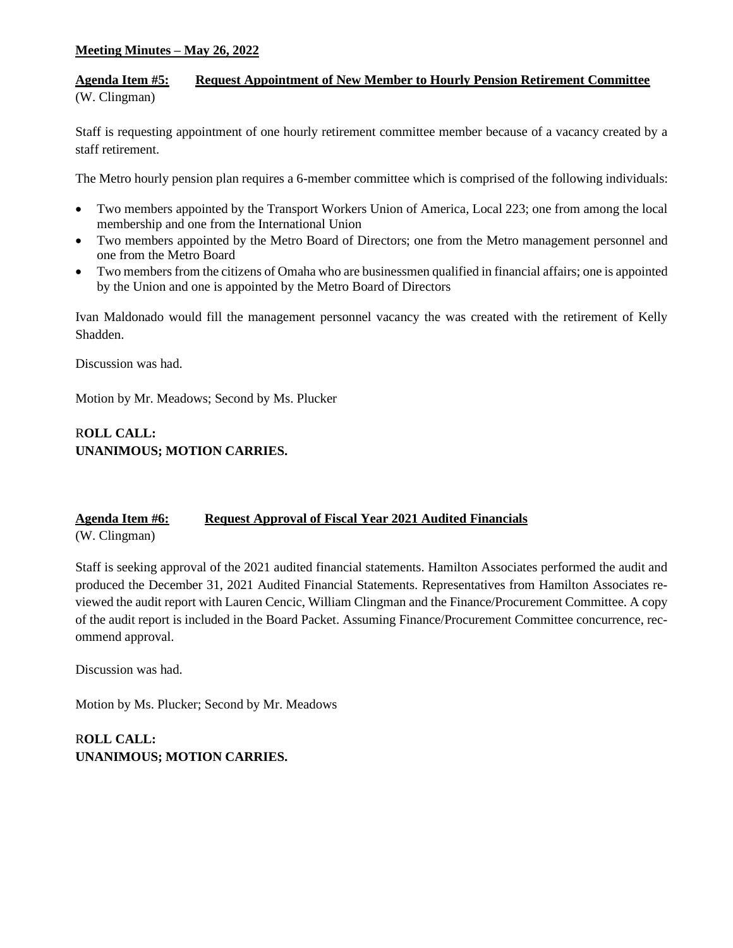### **Agenda Item #5: Request Appointment of New Member to Hourly Pension Retirement Committee** (W. Clingman)

Staff is requesting appointment of one hourly retirement committee member because of a vacancy created by a staff retirement.

The Metro hourly pension plan requires a 6-member committee which is comprised of the following individuals:

- Two members appointed by the Transport Workers Union of America, Local 223; one from among the local membership and one from the International Union
- Two members appointed by the Metro Board of Directors; one from the Metro management personnel and one from the Metro Board
- Two members from the citizens of Omaha who are businessmen qualified in financial affairs; one is appointed by the Union and one is appointed by the Metro Board of Directors

Ivan Maldonado would fill the management personnel vacancy the was created with the retirement of Kelly Shadden.

Discussion was had.

Motion by Mr. Meadows; Second by Ms. Plucker

# R**OLL CALL: UNANIMOUS; MOTION CARRIES.**

# **Agenda Item #6: Request Approval of Fiscal Year 2021 Audited Financials**

(W. Clingman)

Staff is seeking approval of the 2021 audited financial statements. Hamilton Associates performed the audit and produced the December 31, 2021 Audited Financial Statements. Representatives from Hamilton Associates reviewed the audit report with Lauren Cencic, William Clingman and the Finance/Procurement Committee. A copy of the audit report is included in the Board Packet. Assuming Finance/Procurement Committee concurrence, recommend approval.

Discussion was had.

Motion by Ms. Plucker; Second by Mr. Meadows

# R**OLL CALL: UNANIMOUS; MOTION CARRIES.**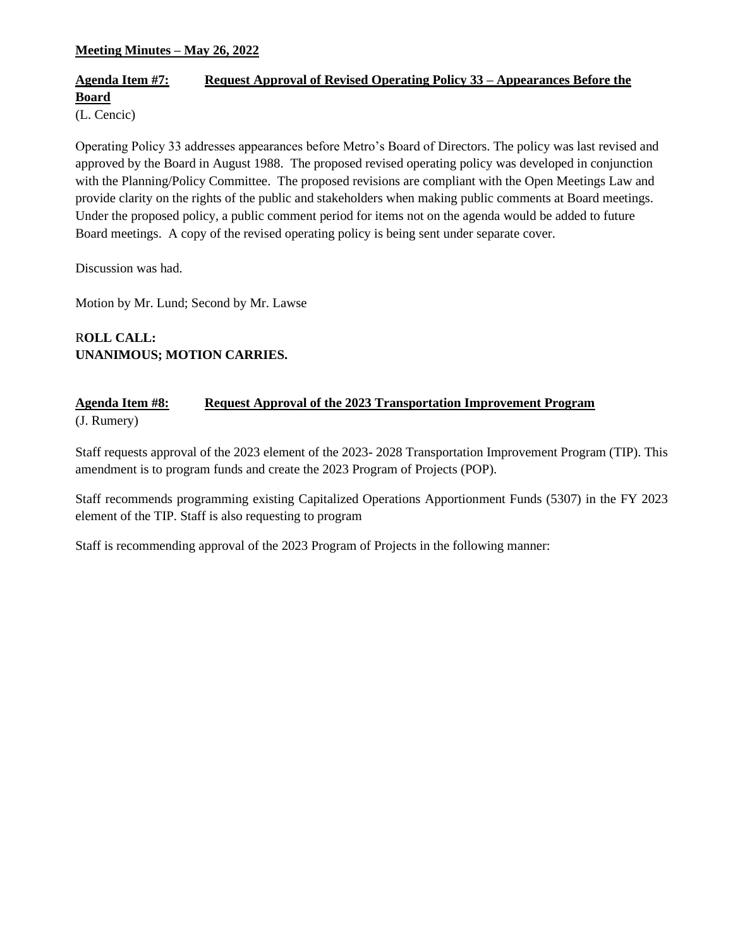# **Agenda Item #7: Request Approval of Revised Operating Policy 33 – Appearances Before the Board**

(L. Cencic)

Operating Policy 33 addresses appearances before Metro's Board of Directors. The policy was last revised and approved by the Board in August 1988. The proposed revised operating policy was developed in conjunction with the Planning/Policy Committee. The proposed revisions are compliant with the Open Meetings Law and provide clarity on the rights of the public and stakeholders when making public comments at Board meetings. Under the proposed policy, a public comment period for items not on the agenda would be added to future Board meetings. A copy of the revised operating policy is being sent under separate cover.

Discussion was had.

Motion by Mr. Lund; Second by Mr. Lawse

# R**OLL CALL: UNANIMOUS; MOTION CARRIES.**

### **Agenda Item #8: Request Approval of the 2023 Transportation Improvement Program** (J. Rumery)

Staff requests approval of the 2023 element of the 2023- 2028 Transportation Improvement Program (TIP). This amendment is to program funds and create the 2023 Program of Projects (POP).

Staff recommends programming existing Capitalized Operations Apportionment Funds (5307) in the FY 2023 element of the TIP. Staff is also requesting to program

Staff is recommending approval of the 2023 Program of Projects in the following manner: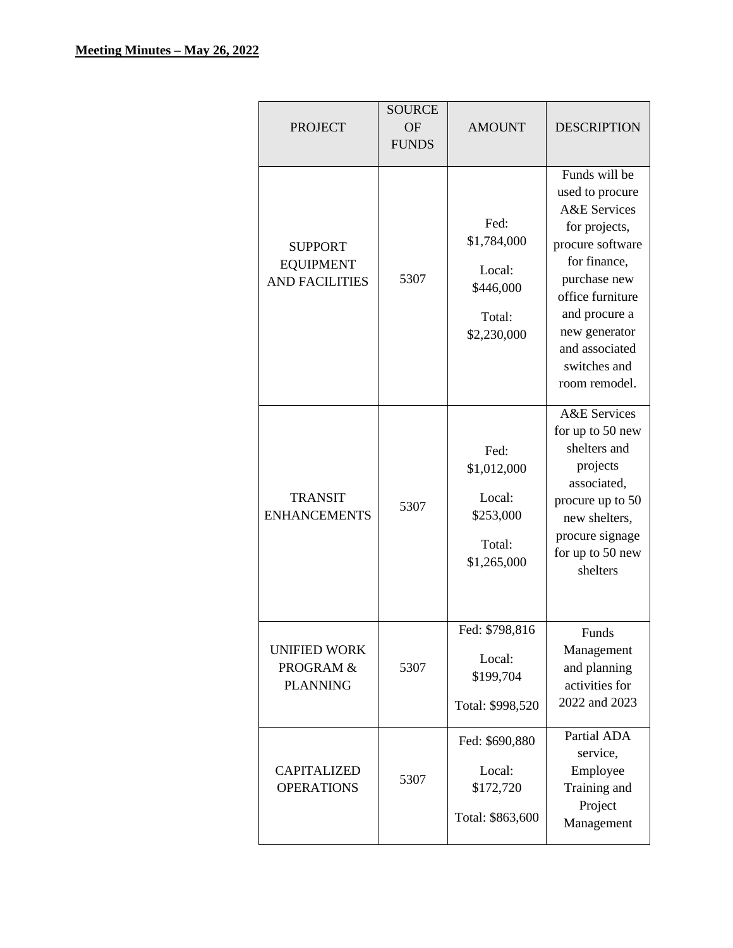|                                                             | <b>SOURCE</b>             |                                                                     |                                                                                                                                                                                                                                           |
|-------------------------------------------------------------|---------------------------|---------------------------------------------------------------------|-------------------------------------------------------------------------------------------------------------------------------------------------------------------------------------------------------------------------------------------|
| <b>PROJECT</b>                                              | <b>OF</b><br><b>FUNDS</b> | <b>AMOUNT</b>                                                       | <b>DESCRIPTION</b>                                                                                                                                                                                                                        |
|                                                             |                           |                                                                     |                                                                                                                                                                                                                                           |
| <b>SUPPORT</b><br><b>EQUIPMENT</b><br><b>AND FACILITIES</b> | 5307                      | Fed:<br>\$1,784,000<br>Local:<br>\$446,000<br>Total:<br>\$2,230,000 | Funds will be<br>used to procure<br><b>A&amp;E</b> Services<br>for projects,<br>procure software<br>for finance,<br>purchase new<br>office furniture<br>and procure a<br>new generator<br>and associated<br>switches and<br>room remodel. |
| <b>TRANSIT</b><br><b>ENHANCEMENTS</b>                       | 5307                      | Fed:<br>\$1,012,000<br>Local:<br>\$253,000<br>Total:<br>\$1,265,000 | <b>A&amp;E</b> Services<br>for up to 50 new<br>shelters and<br>projects<br>associated,<br>procure up to 50<br>new shelters,<br>procure signage<br>for up to 50 new<br>shelters                                                            |
| <b>UNIFIED WORK</b><br>PROGRAM &<br><b>PLANNING</b>         | 5307                      | Fed: \$798,816<br>Local:<br>\$199,704<br>Total: \$998,520           | Funds<br>Management<br>and planning<br>activities for<br>2022 and 2023                                                                                                                                                                    |
| <b>CAPITALIZED</b><br><b>OPERATIONS</b>                     | 5307                      | Fed: \$690,880<br>Local:<br>\$172,720<br>Total: \$863,600           | Partial ADA<br>service,<br>Employee<br>Training and<br>Project<br>Management                                                                                                                                                              |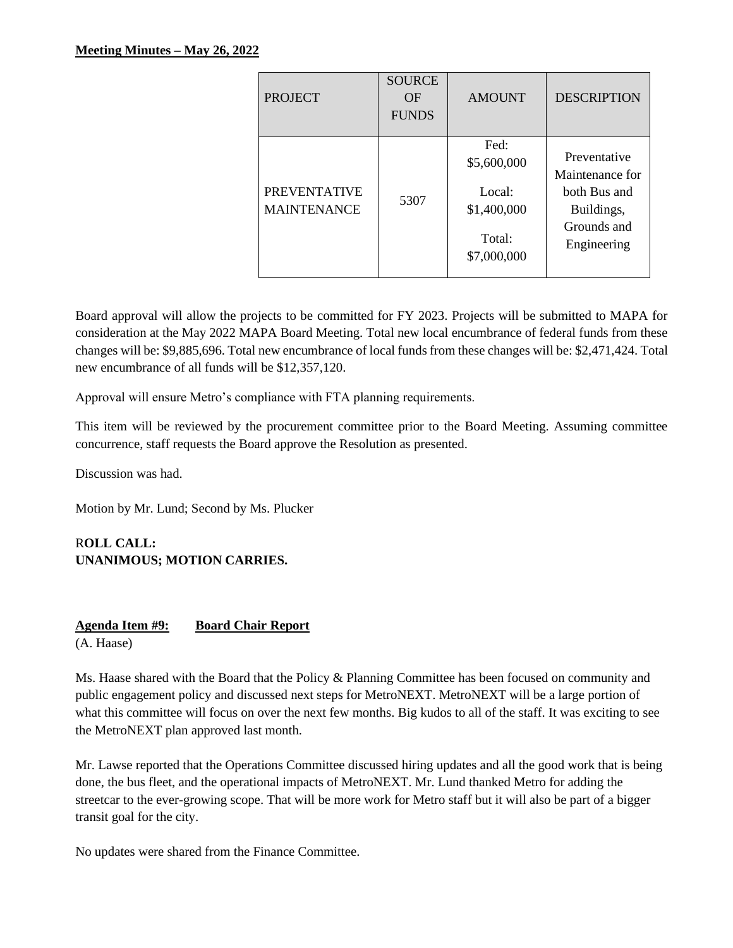| <b>PROJECT</b>                            | <b>SOURCE</b><br>OF<br><b>FUNDS</b> | <b>AMOUNT</b>                                                         | <b>DESCRIPTION</b>                                                                          |
|-------------------------------------------|-------------------------------------|-----------------------------------------------------------------------|---------------------------------------------------------------------------------------------|
| <b>PREVENTATIVE</b><br><b>MAINTENANCE</b> | 5307                                | Fed:<br>\$5,600,000<br>Local:<br>\$1,400,000<br>Total:<br>\$7,000,000 | Preventative<br>Maintenance for<br>both Bus and<br>Buildings,<br>Grounds and<br>Engineering |

Board approval will allow the projects to be committed for FY 2023. Projects will be submitted to MAPA for consideration at the May 2022 MAPA Board Meeting. Total new local encumbrance of federal funds from these changes will be: \$9,885,696. Total new encumbrance of local funds from these changes will be: \$2,471,424. Total new encumbrance of all funds will be \$12,357,120.

Approval will ensure Metro's compliance with FTA planning requirements.

This item will be reviewed by the procurement committee prior to the Board Meeting. Assuming committee concurrence, staff requests the Board approve the Resolution as presented.

Discussion was had.

Motion by Mr. Lund; Second by Ms. Plucker

### R**OLL CALL: UNANIMOUS; MOTION CARRIES.**

# **Agenda Item #9: Board Chair Report**

(A. Haase)

Ms. Haase shared with the Board that the Policy & Planning Committee has been focused on community and public engagement policy and discussed next steps for MetroNEXT. MetroNEXT will be a large portion of what this committee will focus on over the next few months. Big kudos to all of the staff. It was exciting to see the MetroNEXT plan approved last month.

Mr. Lawse reported that the Operations Committee discussed hiring updates and all the good work that is being done, the bus fleet, and the operational impacts of MetroNEXT. Mr. Lund thanked Metro for adding the streetcar to the ever-growing scope. That will be more work for Metro staff but it will also be part of a bigger transit goal for the city.

No updates were shared from the Finance Committee.